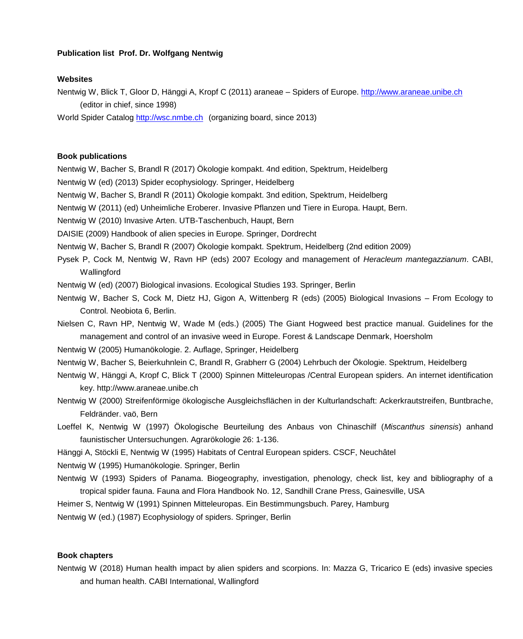# **Publication list Prof. Dr. Wolfgang Nentwig**

### **Websites**

Nentwig W, Blick T, Gloor D, Hänggi A, Kropf C (2011) araneae – Spiders of Europe[. http://www.araneae.unibe.ch](http://www.araneae.unibe.ch/) (editor in chief, since 1998)

World Spider Catalo[g http://wsc.nmbe.ch](http://wsc.nmbe.ch/) (organizing board, since 2013)

## **Book publications**

Nentwig W, Bacher S, Brandl R (2017) Ökologie kompakt. 4nd edition, Spektrum, Heidelberg

Nentwig W (ed) (2013) Spider ecophysiology. Springer, Heidelberg

Nentwig W, Bacher S, Brandl R (2011) Ökologie kompakt. 3nd edition, Spektrum, Heidelberg

Nentwig W (2011) (ed) Unheimliche Eroberer. Invasive Pflanzen und Tiere in Europa. Haupt, Bern.

Nentwig W (2010) Invasive Arten. UTB-Taschenbuch, Haupt, Bern

DAISIE (2009) Handbook of alien species in Europe. Springer, Dordrecht

Nentwig W, Bacher S, Brandl R (2007) Ökologie kompakt. Spektrum, Heidelberg (2nd edition 2009)

Pysek P, Cock M, Nentwig W, Ravn HP (eds) 2007 Ecology and management of *Heracleum mantegazzianum*. CABI, **Wallingford** 

Nentwig W (ed) (2007) Biological invasions. Ecological Studies 193. Springer, Berlin

Nentwig W, Bacher S, Cock M, Dietz HJ, Gigon A, Wittenberg R (eds) (2005) Biological Invasions – From Ecology to Control. Neobiota 6, Berlin.

Nielsen C, Ravn HP, Nentwig W, Wade M (eds.) (2005) The Giant Hogweed best practice manual. Guidelines for the management and control of an invasive weed in Europe. Forest & Landscape Denmark, Hoersholm

Nentwig W (2005) Humanökologie. 2. Auflage, Springer, Heidelberg

Nentwig W, Bacher S, Beierkuhnlein C, Brandl R, Grabherr G (2004) Lehrbuch der Ökologie. Spektrum, Heidelberg

Nentwig W, Hänggi A, Kropf C, Blick T (2000) Spinnen Mitteleuropas /Central European spiders. An internet identification key. http://www.araneae.unibe.ch

Nentwig W (2000) Streifenförmige ökologische Ausgleichsflächen in der Kulturlandschaft: Ackerkrautstreifen, Buntbrache, Feldränder. vaö, Bern

Loeffel K, Nentwig W (1997) Ökologische Beurteilung des Anbaus von Chinaschilf (*Miscanthus sinensis*) anhand faunistischer Untersuchungen. Agrarökologie 26: 1-136.

Hänggi A, Stöckli E, Nentwig W (1995) Habitats of Central European spiders. CSCF, Neuchâtel

Nentwig W (1995) Humanökologie. Springer, Berlin

Nentwig W (1993) Spiders of Panama. Biogeography, investigation, phenology, check list, key and bibliography of a tropical spider fauna. Fauna and Flora Handbook No. 12, Sandhill Crane Press, Gainesville, USA

Heimer S, Nentwig W (1991) Spinnen Mitteleuropas. Ein Bestimmungsbuch. Parey, Hamburg

Nentwig W (ed.) (1987) Ecophysiology of spiders. Springer, Berlin

### **Book chapters**

Nentwig W (2018) Human health impact by alien spiders and scorpions. In: Mazza G, Tricarico E (eds) invasive species and human health. CABI International, Wallingford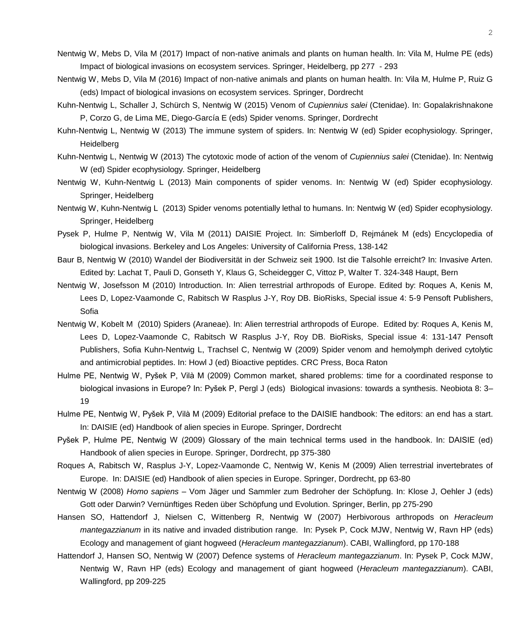- Nentwig W, Mebs D, Vila M (2017) Impact of non-native animals and plants on human health. In: Vila M, Hulme PE (eds) Impact of biological invasions on ecosystem services. Springer, Heidelberg, pp 277 - 293
- Nentwig W, Mebs D, Vila M (2016) Impact of non-native animals and plants on human health. In: Vila M, Hulme P, Ruiz G (eds) Impact of biological invasions on ecosystem services. Springer, Dordrecht
- Kuhn-Nentwig L, Schaller J, Schürch S, Nentwig W (2015) Venom of *Cupiennius salei* (Ctenidae). In: Gopalakrishnakone P, Corzo G, de Lima ME, Diego-García E (eds) Spider venoms. Springer, Dordrecht
- Kuhn-Nentwig L, Nentwig W (2013) The immune system of spiders. In: Nentwig W (ed) Spider ecophysiology. Springer, Heidelberg
- Kuhn-Nentwig L, Nentwig W (2013) The cytotoxic mode of action of the venom of *Cupiennius salei* (Ctenidae). In: Nentwig W (ed) Spider ecophysiology. Springer, Heidelberg
- Nentwig W, Kuhn-Nentwig L (2013) Main components of spider venoms. In: Nentwig W (ed) Spider ecophysiology. Springer, Heidelberg
- Nentwig W, Kuhn-Nentwig L (2013) Spider venoms potentially lethal to humans. In: Nentwig W (ed) Spider ecophysiology. Springer, Heidelberg
- Pysek P, Hulme P, Nentwig W, Vila M (2011) DAISIE Project. In: Simberloff D, Rejmánek M (eds) Encyclopedia of biological invasions. Berkeley and Los Angeles: University of California Press, 138-142
- Baur B, Nentwig W (2010) Wandel der Biodiversität in der Schweiz seit 1900. Ist die Talsohle erreicht? In: Invasive Arten. Edited by: Lachat T, Pauli D, Gonseth Y, Klaus G, Scheidegger C, Vittoz P, Walter T. 324-348 Haupt, Bern
- Nentwig W, Josefsson M (2010) Introduction. In: Alien terrestrial arthropods of Europe. Edited by: Roques A, Kenis M, Lees D, Lopez-Vaamonde C, Rabitsch W Rasplus J-Y, Roy DB. BioRisks, Special issue 4: 5-9 Pensoft Publishers, Sofia
- Nentwig W, Kobelt M (2010) Spiders (Araneae). In: Alien terrestrial arthropods of Europe. Edited by: Roques A, Kenis M, Lees D, Lopez-Vaamonde C, Rabitsch W Rasplus J-Y, Roy DB. BioRisks, Special issue 4: 131-147 Pensoft Publishers, Sofia Kuhn-Nentwig L, Trachsel C, Nentwig W (2009) Spider venom and hemolymph derived cytolytic and antimicrobial peptides. In: Howl J (ed) Bioactive peptides. CRC Press, Boca Raton
- Hulme PE, Nentwig W, Pyšek P, Vilà M (2009) Common market, shared problems: time for a coordinated response to biological invasions in Europe? In: Pyšek P, Pergl J (eds) Biological invasions: towards a synthesis. Neobiota 8: 3– 19
- Hulme PE, Nentwig W, Pyšek P, Vilà M (2009) Editorial preface to the DAISIE handbook: The editors: an end has a start. In: DAISIE (ed) Handbook of alien species in Europe. Springer, Dordrecht
- Pyšek P, Hulme PE, Nentwig W (2009) Glossary of the main technical terms used in the handbook. In: DAISIE (ed) Handbook of alien species in Europe. Springer, Dordrecht, pp 375-380
- Roques A, Rabitsch W, Rasplus J-Y, Lopez-Vaamonde C, Nentwig W, Kenis M (2009) Alien terrestrial invertebrates of Europe. In: DAISIE (ed) Handbook of alien species in Europe. Springer, Dordrecht, pp 63-80
- Nentwig W (2008) *Homo sapiens* Vom Jäger und Sammler zum Bedroher der Schöpfung. In: Klose J, Oehler J (eds) Gott oder Darwin? Vernünftiges Reden über Schöpfung und Evolution. Springer, Berlin, pp 275-290
- Hansen SO, Hattendorf J, Nielsen C, Wittenberg R, Nentwig W (2007) Herbivorous arthropods on *Heracleum mantegazzianum* in its native and invaded distribution range. In: Pysek P, Cock MJW, Nentwig W, Ravn HP (eds) Ecology and management of giant hogweed (*Heracleum mantegazzianum*). CABI, Wallingford, pp 170-188
- Hattendorf J, Hansen SO, Nentwig W (2007) Defence systems of *Heracleum mantegazzianum*. In: Pysek P, Cock MJW, Nentwig W, Ravn HP (eds) Ecology and management of giant hogweed (*Heracleum mantegazzianum*). CABI, Wallingford, pp 209-225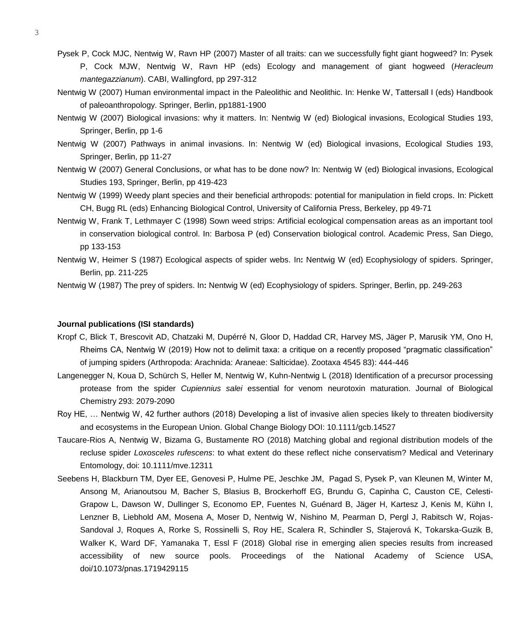- Pysek P, Cock MJC, Nentwig W, Ravn HP (2007) Master of all traits: can we successfully fight giant hogweed? In: Pysek
	- P, Cock MJW, Nentwig W, Ravn HP (eds) Ecology and management of giant hogweed (*Heracleum mantegazzianum*). CABI, Wallingford, pp 297-312
- Nentwig W (2007) Human environmental impact in the Paleolithic and Neolithic. In: Henke W, Tattersall I (eds) Handbook of paleoanthropology. Springer, Berlin, pp1881-1900
- Nentwig W (2007) Biological invasions: why it matters. In: Nentwig W (ed) Biological invasions, Ecological Studies 193, Springer, Berlin, pp 1-6
- Nentwig W (2007) Pathways in animal invasions. In: Nentwig W (ed) Biological invasions, Ecological Studies 193, Springer, Berlin, pp 11-27
- Nentwig W (2007) General Conclusions, or what has to be done now? In: Nentwig W (ed) Biological invasions, Ecological Studies 193, Springer, Berlin, pp 419-423
- Nentwig W (1999) Weedy plant species and their beneficial arthropods: potential for manipulation in field crops. In: Pickett CH, Bugg RL (eds) Enhancing Biological Control, University of California Press, Berkeley, pp 49-71
- Nentwig W, Frank T, Lethmayer C (1998) Sown weed strips: Artificial ecological compensation areas as an important tool in conservation biological control. In: Barbosa P (ed) Conservation biological control. Academic Press, San Diego, pp 133-153
- Nentwig W, Heimer S (1987) Ecological aspects of spider webs. In**:** Nentwig W (ed) Ecophysiology of spiders. Springer, Berlin, pp. 211-225

Nentwig W (1987) The prey of spiders. In**:** Nentwig W (ed) Ecophysiology of spiders. Springer, Berlin, pp. 249-263

## **Journal publications (ISI standards)**

- Kropf C, Blick T, Brescovit AD, Chatzaki M, Dupérré N, Gloor D, Haddad CR, Harvey MS, Jäger P, Marusik YM, Ono H, Rheims CA, Nentwig W (2019) How not to delimit taxa: a critique on a recently proposed "pragmatic classification" of jumping spiders (Arthropoda: Arachnida: Araneae: Salticidae). Zootaxa 4545 83): 444-446
- Langenegger N, Koua D, Schürch S, Heller M, Nentwig W, Kuhn-Nentwig L (2018) Identification of a precursor processing protease from the spider *Cupiennius salei* essential for venom neurotoxin maturation. Journal of Biological Chemistry 293: 2079-2090
- Roy HE, … Nentwig W, 42 further authors (2018) Developing a list of invasive alien species likely to threaten biodiversity and ecosystems in the European Union. Global Change Biology DOI: 10.1111/gcb.14527
- Taucare-Rios A, Nentwig W, Bizama G, Bustamente RO (2018) Matching global and regional distribution models of the recluse spider *Loxosceles rufescens*: to what extent do these reflect niche conservatism? Medical and Veterinary Entomology, doi: 10.1111/mve.12311
- Seebens H, Blackburn TM, Dyer EE, Genovesi P, Hulme PE, Jeschke JM, Pagad S, Pysek P, van Kleunen M, Winter M, Ansong M, Arianoutsou M, Bacher S, Blasius B, Brockerhoff EG, Brundu G, Capinha C, Causton CE, Celesti-Grapow L, Dawson W, Dullinger S, Economo EP, Fuentes N, Guénard B, Jäger H, Kartesz J, Kenis M, Kühn I, Lenzner B, Liebhold AM, Mosena A, Moser D, Nentwig W, Nishino M, Pearman D, Pergl J, Rabitsch W, Rojas-Sandoval J, Roques A, Rorke S, Rossinelli S, Roy HE, Scalera R, Schindler S, Stajerová K, Tokarska-Guzik B, Walker K, Ward DF, Yamanaka T, Essl F (2018) Global rise in emerging alien species results from increased accessibility of new source pools. Proceedings of the National Academy of Science USA, doi/10.1073/pnas.1719429115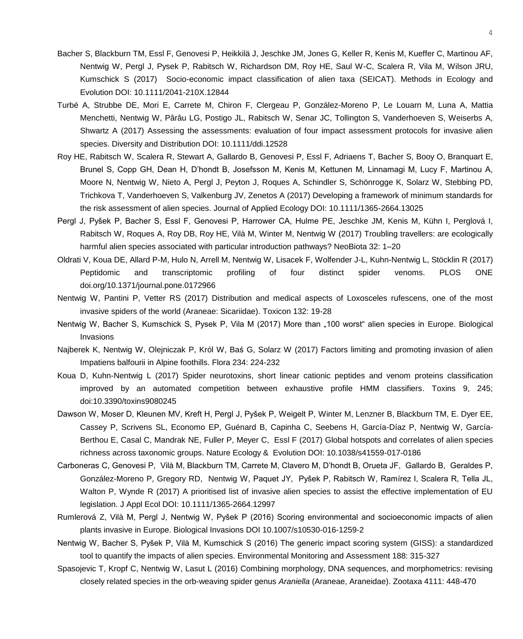- Bacher S, Blackburn TM, Essl F, Genovesi P, Heikkilä J, Jeschke JM, Jones G, Keller R, Kenis M, Kueffer C, Martinou AF, Nentwig W, Pergl J, Pysek P, Rabitsch W, Richardson DM, Roy HE, Saul W-C, Scalera R, Vila M, Wilson JRU, Kumschick S (2017) Socio-economic impact classification of alien taxa (SEICAT). Methods in Ecology and Evolution DOI: 10.1111/2041-210X.12844
- Turbé A, Strubbe DE, Mori E, Carrete M, Chiron F, Clergeau P, González-Moreno P, Le Louarn M, Luna A, Mattia Menchetti, Nentwig W, Pârâu LG, Postigo JL, Rabitsch W, Senar JC, Tollington S, Vanderhoeven S, Weiserbs A, Shwartz A (2017) Assessing the assessments: evaluation of four impact assessment protocols for invasive alien species. Diversity and Distribution DOI: 10.1111/ddi.12528
- Roy HE, Rabitsch W, Scalera R, Stewart A, Gallardo B, Genovesi P, Essl F, Adriaens T, Bacher S, Booy O, Branquart E, Brunel S, Copp GH, Dean H, D'hondt B, Josefsson M, Kenis M, Kettunen M, Linnamagi M, Lucy F, Martinou A, Moore N, Nentwig W, Nieto A, Pergl J, Peyton J, Roques A, Schindler S, Schönrogge K, Solarz W, Stebbing PD, Trichkova T, Vanderhoeven S, Valkenburg JV, Zenetos A (2017) Developing a framework of minimum standards for the risk assessment of alien species. Journal of Applied Ecology DOI: 10.1111/1365-2664.13025
- Pergl J, Pyšek P, Bacher S, Essl F, Genovesi P, Harrower CA, Hulme PE, Jeschke JM, Kenis M, Kühn I, Perglová I, Rabitsch W, Roques A, Roy DB, Roy HE, Vilà M, Winter M, Nentwig W (2017) Troubling travellers: are ecologically harmful alien species associated with particular introduction pathways? NeoBiota 32: 1–20
- Oldrati V, Koua DE, Allard P-M, Hulo N, Arrell M, Nentwig W, Lisacek F, Wolfender J-L, Kuhn-Nentwig L, Stöcklin R (2017) Peptidomic and transcriptomic profiling of four distinct spider venoms. PLOS ONE doi.org/10.1371/journal.pone.0172966
- Nentwig W, Pantini P, Vetter RS (2017) Distribution and medical aspects of Loxosceles rufescens, one of the most invasive spiders of the world (Araneae: Sicariidae). Toxicon 132: 19-28
- Nentwig W, Bacher S, Kumschick S, Pysek P, Vila M (2017) More than "100 worst" alien species in Europe. Biological Invasions
- Najberek K, Nentwig W, Olejniczak P, Król W, Baś G, Solarz W (2017) Factors limiting and promoting invasion of alien Impatiens balfourii in Alpine foothills. Flora 234: 224-232
- Koua D, Kuhn-Nentwig L (2017) Spider neurotoxins, short linear cationic peptides and venom proteins classification improved by an automated competition between exhaustive profile HMM classifiers. Toxins 9, 245; doi:10.3390/toxins9080245
- Dawson W, Moser D, Kleunen MV, Kreft H, Pergl J, Pyšek P, Weigelt P, Winter M, Lenzner B, Blackburn TM, E. Dyer EE, Cassey P, Scrivens SL, Economo EP, Guénard B, Capinha C, Seebens H, García-Díaz P, Nentwig W, García-Berthou E, Casal C, Mandrak NE, Fuller P, Meyer C, Essl F (2017) Global hotspots and correlates of alien species richness across taxonomic groups. Nature Ecology & Evolution DOI: 10.1038/s41559-017-0186
- Carboneras C, Genovesi P, Vilà M, Blackburn TM, Carrete M, Clavero M, D'hondt B, Orueta JF, Gallardo B, Geraldes P, González-Moreno P, Gregory RD, Nentwig W, Paquet JY, Pyšek P, Rabitsch W, Ramírez I, Scalera R, Tella JL, Walton P, Wynde R (2017) A prioritised list of invasive alien species to assist the effective implementation of EU legislation. J Appl Ecol DOI: 10.1111/1365-2664.12997
- Rumlerová Z, Vilà M, Pergl J, Nentwig W, Pyšek P (2016) Scoring environmental and socioeconomic impacts of alien plants invasive in Europe. Biological Invasions DOI 10.1007/s10530-016-1259-2
- Nentwig W, Bacher S, Pyšek P, Vilà M, Kumschick S (2016) The generic impact scoring system (GISS): a standardized tool to quantify the impacts of alien species. Environmental Monitoring and Assessment 188: 315-327
- Spasojevic T, Kropf C, Nentwig W, Lasut L (2016) Combining morphology, DNA sequences, and morphometrics: revising closely related species in the orb-weaving spider genus *Araniella* (Araneae, Araneidae). Zootaxa 4111: 448-470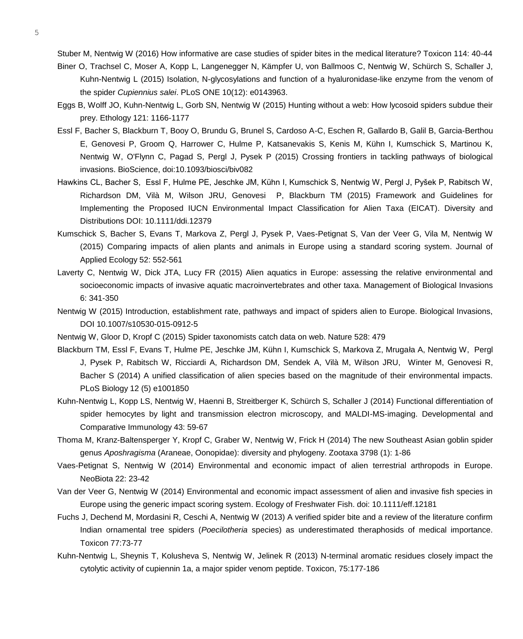Stuber M, Nentwig W (2016) How informative are case studies of spider bites in the medical literature? Toxicon 114: 40-44

- Biner O, Trachsel C, Moser A, Kopp L, Langenegger N, Kämpfer U, von Ballmoos C, Nentwig W, Schürch S, Schaller J, Kuhn-Nentwig L (2015) Isolation, N-glycosylations and function of a hyaluronidase-like enzyme from the venom of the spider *Cupiennius salei*. PLoS ONE 10(12): e0143963.
- Eggs B, Wolff JO, Kuhn-Nentwig L, Gorb SN, Nentwig W (2015) Hunting without a web: How lycosoid spiders subdue their prey. Ethology 121: 1166-1177
- Essl F, Bacher S, Blackburn T, Booy O, Brundu G, Brunel S, Cardoso A-C, Eschen R, Gallardo B, Galil B, Garcia-Berthou E, Genovesi P, Groom Q, Harrower C, Hulme P, Katsanevakis S, Kenis M, Kühn I, Kumschick S, Martinou K, Nentwig W, O'Flynn C, Pagad S, Pergl J, Pysek P (2015) Crossing frontiers in tackling pathways of biological invasions. BioScience, doi:10.1093/biosci/biv082
- Hawkins CL, Bacher S, Essl F, Hulme PE, Jeschke JM, Kühn I, Kumschick S, Nentwig W, Pergl J, Pyšek P, Rabitsch W, Richardson DM, Vilà M, Wilson JRU, Genovesi P, Blackburn TM (2015) Framework and Guidelines for Implementing the Proposed IUCN Environmental Impact Classification for Alien Taxa (EICAT). Diversity and Distributions DOI: 10.1111/ddi.12379
- Kumschick S, Bacher S, Evans T, Markova Z, Pergl J, Pysek P, Vaes-Petignat S, Van der Veer G, Vila M, Nentwig W (2015) Comparing impacts of alien plants and animals in Europe using a standard scoring system. Journal of Applied Ecology 52: 552-561
- Laverty C, Nentwig W, Dick JTA, Lucy FR (2015) Alien aquatics in Europe: assessing the relative environmental and socioeconomic impacts of invasive aquatic macroinvertebrates and other taxa. Management of Biological Invasions 6: 341-350
- Nentwig W (2015) Introduction, establishment rate, pathways and impact of spiders alien to Europe. Biological Invasions, DOI 10.1007/s10530-015-0912-5
- Nentwig W, Gloor D, Kropf C (2015) Spider taxonomists catch data on web. Nature 528: 479
- Blackburn TM, Essl F, Evans T, Hulme PE, Jeschke JM, Kühn I, Kumschick S, Markova Z, Mrugała A, Nentwig W, Pergl J, Pysek P, Rabitsch W, Ricciardi A, Richardson DM, Sendek A, Vilà M, Wilson JRU, Winter M, Genovesi R, Bacher S (2014) A unified classification of alien species based on the magnitude of their environmental impacts. PLoS Biology 12 (5) e1001850
- Kuhn-Nentwig L, Kopp LS, Nentwig W, Haenni B, Streitberger K, Schürch S, Schaller J (2014) Functional differentiation of spider hemocytes by light and transmission electron microscopy, and MALDI-MS-imaging. Developmental and Comparative Immunology 43: 59-67
- Thoma M, Kranz-Baltensperger Y, Kropf C, Graber W, Nentwig W, Frick H (2014) The new Southeast Asian goblin spider genus *Aposhragisma* (Araneae, Oonopidae): diversity and phylogeny. Zootaxa 3798 (1): 1-86
- Vaes-Petignat S, Nentwig W (2014) Environmental and economic impact of alien terrestrial arthropods in Europe. NeoBiota 22: 23-42
- Van der Veer G, Nentwig W (2014) Environmental and economic impact assessment of alien and invasive fish species in Europe using the generic impact scoring system. Ecology of Freshwater Fish. doi: 10.1111/eff.12181
- Fuchs J, Dechend M, Mordasini R, Ceschi A, Nentwig W (2013) A verified spider bite and a review of the literature confirm Indian ornamental tree spiders (*Poecilotheria* species) as underestimated theraphosids of medical importance. Toxicon 77:73-77
- Kuhn-Nentwig L, Sheynis T, Kolusheva S, Nentwig W, Jelinek R (2013) N-terminal aromatic residues closely impact the cytolytic activity of cupiennin 1a, a major spider venom peptide. Toxicon, 75:177-186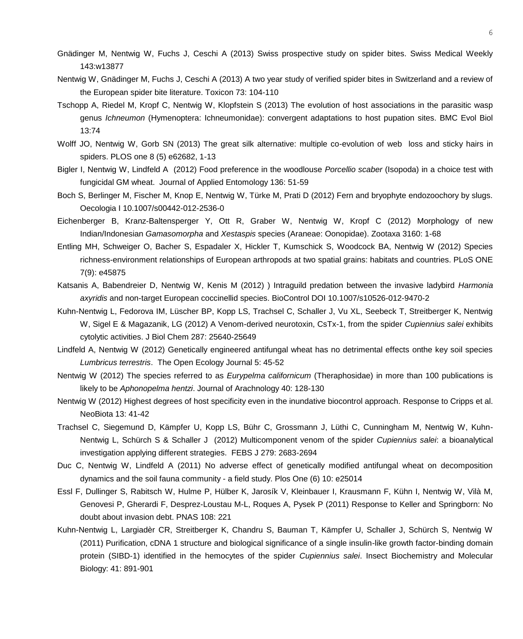- Gnädinger M, Nentwig W, Fuchs J, Ceschi A (2013) Swiss prospective study on spider bites. Swiss Medical Weekly 143:w13877
- Nentwig W, Gnädinger M, Fuchs J, Ceschi A (2013) A two year study of verified spider bites in Switzerland and a review of the European spider bite literature. Toxicon 73: 104-110
- Tschopp A, Riedel M, Kropf C, Nentwig W, Klopfstein S (2013) The evolution of host associations in the parasitic wasp genus *Ichneumon* (Hymenoptera: Ichneumonidae): convergent adaptations to host pupation sites. BMC Evol Biol 13:74
- Wolff JO, Nentwig W, Gorb SN (2013) The great silk alternative: multiple co-evolution of web loss and sticky hairs in spiders. PLOS one 8 (5) e62682, 1-13
- Bigler I, Nentwig W, Lindfeld A (2012) Food preference in the woodlouse *Porcellio scaber* (Isopoda) in a choice test with fungicidal GM wheat. Journal of Applied Entomology 136: 51-59
- Boch S, Berlinger M, Fischer M, Knop E, Nentwig W, Türke M, Prati D (2012) Fern and bryophyte endozoochory by slugs. Oecologia I 10.1007/s00442-012-2536-0
- Eichenberger B, Kranz-Baltensperger Y, Ott R, Graber W, Nentwig W, Kropf C (2012) Morphology of new Indian/Indonesian *Gamasomorpha* and *Xestaspis* species (Araneae: Oonopidae). Zootaxa 3160: 1-68
- Entling MH, Schweiger O, Bacher S, Espadaler X, Hickler T, Kumschick S, Woodcock BA, Nentwig W (2012) Species richness-environment relationships of European arthropods at two spatial grains: habitats and countries. PLoS ONE 7(9): e45875
- Katsanis A, Babendreier D, Nentwig W, Kenis M (2012) ) Intraguild predation between the invasive ladybird *Harmonia axyridis* and non-target European coccinellid species. BioControl DOI 10.1007/s10526-012-9470-2
- Kuhn-Nentwig L, Fedorova IM, Lüscher BP, Kopp LS, Trachsel C, Schaller J, Vu XL, Seebeck T, Streitberger K, Nentwig W, Sigel E & Magazanik, LG (2012) A Venom-derived neurotoxin, CsTx-1, from the spider *Cupiennius salei* exhibits cytolytic activities. J Biol Chem 287: 25640-25649
- Lindfeld A, Nentwig W (2012) Genetically engineered antifungal wheat has no detrimental effects onthe key soil species *Lumbricus terrestris*. The Open Ecology Journal 5: 45-52
- Nentwig W (2012) The species referred to as *Eurypelma californicum* (Theraphosidae) in more than 100 publications is likely to be *Aphonopelma hentzi*. Journal of Arachnology 40: 128-130
- Nentwig W (2012) Highest degrees of host specificity even in the inundative biocontrol approach. Response to Cripps et al. NeoBiota 13: 41-42
- Trachsel C, Siegemund D, Kämpfer U, Kopp LS, Bühr C, Grossmann J, Lüthi C, Cunningham M, Nentwig W, Kuhn-Nentwig L, Schürch S & Schaller J (2012) Multicomponent venom of the spider *Cupiennius salei*: a bioanalytical investigation applying different strategies. FEBS J 279: 2683-2694
- Duc C, Nentwig W, Lindfeld A (2011) No adverse effect of genetically modified antifungal wheat on decomposition dynamics and the soil fauna community - a field study. Plos One (6) 10: e25014
- Essl F, Dullinger S, Rabitsch W, Hulme P, Hülber K, Jarosík V, Kleinbauer I, Krausmann F, Kühn I, Nentwig W, Vilà M, Genovesi P, Gherardi F, Desprez-Loustau M-L, Roques A, Pysek P (2011) Response to Keller and Springborn: No doubt about invasion debt. PNAS 108: 221
- Kuhn-Nentwig L, Largiadèr CR, Streitberger K, Chandru S, Bauman T, Kämpfer U, Schaller J, Schürch S, Nentwig W (2011) Purification, cDNA 1 structure and biological significance of a single insulin-like growth factor-binding domain protein (SIBD-1) identified in the hemocytes of the spider *Cupiennius salei*. Insect Biochemistry and Molecular Biology: 41: 891-901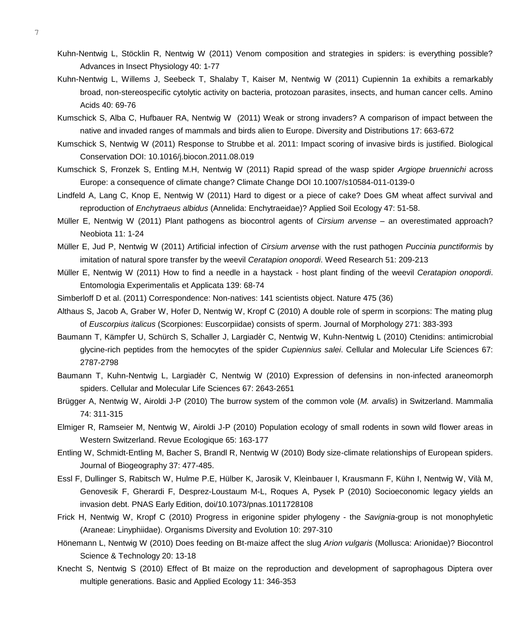- 7
- Kuhn-Nentwig L, Stöcklin R, Nentwig W (2011) Venom composition and strategies in spiders: is everything possible? Advances in Insect Physiology 40: 1-77
- Kuhn-Nentwig L, Willems J, Seebeck T, Shalaby T, Kaiser M, Nentwig W (2011) Cupiennin 1a exhibits a remarkably broad, non-stereospecific cytolytic activity on bacteria, protozoan parasites, insects, and human cancer cells. Amino Acids 40: 69-76
- Kumschick S, Alba C, Hufbauer RA, Nentwig W (2011) Weak or strong invaders? A comparison of impact between the native and invaded ranges of mammals and birds alien to Europe. Diversity and Distributions 17: 663-672
- Kumschick S, Nentwig W (2011) Response to Strubbe et al. 2011: Impact scoring of invasive birds is justified. Biological Conservation DOI: 10.1016/j.biocon.2011.08.019
- Kumschick S, Fronzek S, Entling M.H, Nentwig W (2011) Rapid spread of the wasp spider *Argiope bruennichi* across Europe: a consequence of climate change? Climate Change DOI 10.1007/s10584-011-0139-0
- Lindfeld A, Lang C, Knop E, Nentwig W (2011) Hard to digest or a piece of cake? Does GM wheat affect survival and reproduction of *Enchytraeus albidus* (Annelida: Enchytraeidae)? Applied Soil Ecology 47: 51-58.
- Müller E, Nentwig W (2011) Plant pathogens as biocontrol agents of *Cirsium arvense* an overestimated approach? Neobiota 11: 1-24
- Müller E, Jud P, Nentwig W (2011) Artificial infection of *Cirsium arvense* with the rust pathogen *Puccinia punctiformis* by imitation of natural spore transfer by the weevil *Ceratapion onopordi*. Weed Research 51: 209-213
- Müller E, Nentwig W (2011) How to find a needle in a haystack host plant finding of the weevil *Ceratapion onopordi*. Entomologia Experimentalis et Applicata 139: 68-74
- Simberloff D et al. (2011) Correspondence: Non-natives: 141 scientists object. Nature 475 (36)
- Althaus S, Jacob A, Graber W, Hofer D, Nentwig W, Kropf C (2010) A double role of sperm in scorpions: The mating plug of *Euscorpius italicus* (Scorpiones: Euscorpiidae) consists of sperm. Journal of Morphology 271: 383-393
- Baumann T, Kämpfer U, Schürch S, Schaller J, Largiadèr C, Nentwig W, Kuhn-Nentwig L (2010) Ctenidins: antimicrobial glycine-rich peptides from the hemocytes of the spider *Cupiennius salei*. Cellular and Molecular Life Sciences 67: 2787-2798
- Baumann T, Kuhn-Nentwig L, Largiadèr C, Nentwig W (2010) Expression of defensins in non-infected araneomorph spiders. Cellular and Molecular Life Sciences 67: 2643-2651
- Brügger A, Nentwig W, Airoldi J-P (2010) The burrow system of the common vole (*M. arvalis*) in Switzerland. Mammalia 74: 311-315
- Elmiger R, Ramseier M, Nentwig W, Airoldi J-P (2010) Population ecology of small rodents in sown wild flower areas in Western Switzerland. Revue Ecologique 65: 163-177
- Entling W, Schmidt-Entling M, Bacher S, Brandl R, Nentwig W (2010) Body size-climate relationships of European spiders. Journal of Biogeography 37: 477-485.
- Essl F, Dullinger S, Rabitsch W, Hulme P.E, Hülber K, Jarosik V, Kleinbauer I, Krausmann F, Kühn I, Nentwig W, Vilà M, Genovesik F, Gherardi F, Desprez-Loustaum M-L, Roques A, Pysek P (2010) Socioeconomic legacy yields an invasion debt. PNAS Early Edition, doi/10.1073/pnas.1011728108
- Frick H, Nentwig W, Kropf C (2010) Progress in erigonine spider phylogeny the *Savignia*-group is not monophyletic (Araneae: Linyphiidae). Organisms Diversity and Evolution 10: 297-310
- Hönemann L, Nentwig W (2010) Does feeding on Bt-maize affect the slug *Arion vulgaris* (Mollusca: Arionidae)? Biocontrol Science & Technology 20: 13-18
- Knecht S, Nentwig S (2010) Effect of Bt maize on the reproduction and development of saprophagous Diptera over multiple generations. Basic and Applied Ecology 11: 346-353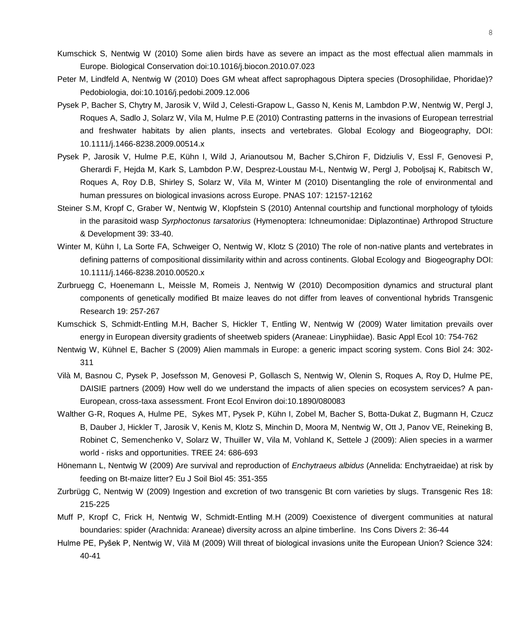- Kumschick S, Nentwig W (2010) Some alien birds have as severe an impact as the most effectual alien mammals in Europe. Biological Conservation doi:10.1016/j.biocon.2010.07.023
- Peter M, Lindfeld A, Nentwig W (2010) Does GM wheat affect saprophagous Diptera species (Drosophilidae, Phoridae)? Pedobiologia, doi:10.1016/j.pedobi.2009.12.006
- Pysek P, Bacher S, Chytry M, Jarosik V, Wild J, Celesti-Grapow L, Gasso N, Kenis M, Lambdon P.W, Nentwig W, Pergl J, Roques A, Sadlo J, Solarz W, Vila M, Hulme P.E (2010) Contrasting patterns in the invasions of European terrestrial and freshwater habitats by alien plants, insects and vertebrates. Global Ecology and Biogeography, DOI: 10.1111/j.1466-8238.2009.00514.x
- Pysek P, Jarosik V, Hulme P.E, Kühn I, Wild J, Arianoutsou M, Bacher S,Chiron F, Didziulis V, Essl F, Genovesi P, Gherardi F, Hejda M, Kark S, Lambdon P.W, Desprez-Loustau M-L, Nentwig W, Pergl J, Poboljsaj K, Rabitsch W, Roques A, Roy D.B, Shirley S, Solarz W, Vila M, Winter M (2010) Disentangling the role of environmental and human pressures on biological invasions across Europe. PNAS 107: 12157-12162
- Steiner S.M, Kropf C, Graber W, Nentwig W, Klopfstein S (2010) Antennal courtship and functional morphology of tyloids in the parasitoid wasp *Syrphoctonus tarsatorius* (Hymenoptera: Ichneumonidae: Diplazontinae) Arthropod Structure & Development 39: 33-40.
- Winter M, Kühn I, La Sorte FA, Schweiger O, Nentwig W, Klotz S (2010) The role of non-native plants and vertebrates in defining patterns of compositional dissimilarity within and across continents. Global Ecology and Biogeography DOI: 10.1111/j.1466-8238.2010.00520.x
- Zurbruegg C, Hoenemann L, Meissle M, Romeis J, Nentwig W (2010) Decomposition dynamics and structural plant components of genetically modified Bt maize leaves do not differ from leaves of conventional hybrids Transgenic Research 19: 257-267
- Kumschick S, Schmidt-Entling M.H, Bacher S, Hickler T, Entling W, Nentwig W (2009) Water limitation prevails over energy in European diversity gradients of sheetweb spiders (Araneae: Linyphiidae). Basic Appl Ecol 10: 754-762
- Nentwig W, Kühnel E, Bacher S (2009) Alien mammals in Europe: a generic impact scoring system. Cons Biol 24: 302- 311
- Vilà M, Basnou C, Pysek P, Josefsson M, Genovesi P, Gollasch S, Nentwig W, Olenin S, Roques A, Roy D, Hulme PE, DAISIE partners (2009) How well do we understand the impacts of alien species on ecosystem services? A pan-European, cross-taxa assessment. Front Ecol Environ doi:10.1890/080083
- Walther G-R, Roques A, Hulme PE, Sykes MT, Pysek P, Kühn I, Zobel M, Bacher S, Botta-Dukat Z, Bugmann H, Czucz B, Dauber J, Hickler T, Jarosik V, Kenis M, Klotz S, Minchin D, Moora M, Nentwig W, Ott J, Panov VE, Reineking B, Robinet C, Semenchenko V, Solarz W, Thuiller W, Vila M, Vohland K, Settele J (2009): Alien species in a warmer world - risks and opportunities. TREE 24: 686-693
- Hönemann L, Nentwig W (2009) Are survival and reproduction of *Enchytraeus albidus* (Annelida: Enchytraeidae) at risk by feeding on Bt-maize litter? Eu J Soil Biol 45: 351-355
- Zurbrügg C, Nentwig W (2009) Ingestion and excretion of two transgenic Bt corn varieties by slugs. Transgenic Res 18: 215-225
- Muff P, Kropf C, Frick H, Nentwig W, Schmidt-Entling M.H (2009) Coexistence of divergent communities at natural boundaries: spider (Arachnida: Araneae) diversity across an alpine timberline. Ins Cons Divers 2: 36-44
- Hulme PE, Pyšek P, Nentwig W, Vilà M (2009) Will threat of biological invasions unite the European Union? Science 324: 40-41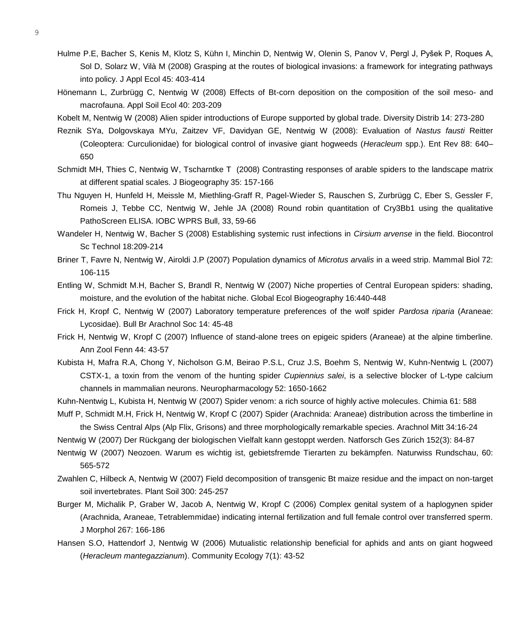- Hulme P.E, Bacher S, Kenis M, Klotz S, Kühn I, Minchin D, Nentwig W, Olenin S, Panov V, Pergl J, Pyšek P, Roques A, Sol D, Solarz W, Vilà M (2008) Grasping at the routes of biological invasions: a framework for integrating pathways into policy. J Appl Ecol 45: 403-414
- Hönemann L, Zurbrügg C, Nentwig W (2008) Effects of Bt-corn deposition on the composition of the soil meso- and macrofauna. Appl Soil Ecol 40: 203-209
- Kobelt M, Nentwig W (2008) Alien spider introductions of Europe supported by global trade. Diversity Distrib 14: 273-280
- Reznik SYa, Dolgovskaya MYu, Zaitzev VF, Davidyan GE, Nentwig W (2008): Evaluation of *Nastus fausti* Reitter (Coleoptera: Curculionidae) for biological control of invasive giant hogweeds (*Heracleum* spp.). Ent Rev 88: 640– 650
- Schmidt MH, Thies C, Nentwig W, Tscharntke T (2008) Contrasting responses of arable spiders to the landscape matrix at different spatial scales. J Biogeography 35: 157-166
- Thu Nguyen H, Hunfeld H, Meissle M, Miethling-Graff R, Pagel-Wieder S, Rauschen S, Zurbrügg C, Eber S, Gessler F, Romeis J, Tebbe CC, Nentwig W, Jehle JA (2008) Round robin quantitation of Cry3Bb1 using the qualitative PathoScreen ELISA. IOBC WPRS Bull, 33, 59-66
- Wandeler H, Nentwig W, Bacher S (2008) Establishing systemic rust infections in *Cirsium arvense* in the field. Biocontrol Sc Technol 18:209-214
- Briner T, Favre N, Nentwig W, Airoldi J.P (2007) Population dynamics of *Microtus arvalis* in a weed strip. Mammal Biol 72: 106-115
- Entling W, Schmidt M.H, Bacher S, Brandl R, Nentwig W (2007) Niche properties of Central European spiders: shading, moisture, and the evolution of the habitat niche. Global Ecol Biogeography 16:440-448
- Frick H, Kropf C, Nentwig W (2007) Laboratory temperature preferences of the wolf spider *Pardosa riparia* (Araneae: Lycosidae). Bull Br Arachnol Soc 14: 45-48
- Frick H, Nentwig W, Kropf C (2007) Influence of stand-alone trees on epigeic spiders (Araneae) at the alpine timberline. Ann Zool Fenn 44: 43-57
- Kubista H, Mafra R.A, Chong Y, Nicholson G.M, Beirao P.S.L, Cruz J.S, Boehm S, Nentwig W, Kuhn-Nentwig L (2007) CSTX-1, a toxin from the venom of the hunting spider *Cupiennius salei*, is a selective blocker of L-type calcium channels in mammalian neurons. Neuropharmacology 52: 1650-1662
- Kuhn-Nentwig L, Kubista H, Nentwig W (2007) Spider venom: a rich source of highly active molecules. Chimia 61: 588

Muff P, Schmidt M.H, Frick H, Nentwig W, Kropf C (2007) Spider (Arachnida: Araneae) distribution across the timberline in the Swiss Central Alps (Alp Flix, Grisons) and three morphologically remarkable species. Arachnol Mitt 34:16-24

Nentwig W (2007) Der Rückgang der biologischen Vielfalt kann gestoppt werden. Natforsch Ges Zürich 152(3): 84-87

- Nentwig W (2007) Neozoen. Warum es wichtig ist, gebietsfremde Tierarten zu bekämpfen. Naturwiss Rundschau, 60: 565-572
- Zwahlen C, Hilbeck A, Nentwig W (2007) Field decomposition of transgenic Bt maize residue and the impact on non-target soil invertebrates. Plant Soil 300: 245-257
- Burger M, Michalik P, Graber W, Jacob A, Nentwig W, Kropf C (2006) Complex genital system of a haplogynen spider (Arachnida, Araneae, Tetrablemmidae) indicating internal fertilization and full female control over transferred sperm. J Morphol 267: 166-186
- Hansen S.O, Hattendorf J, Nentwig W (2006) Mutualistic relationship beneficial for aphids and ants on giant hogweed (*Heracleum mantegazzianum*). Community Ecology 7(1): 43-52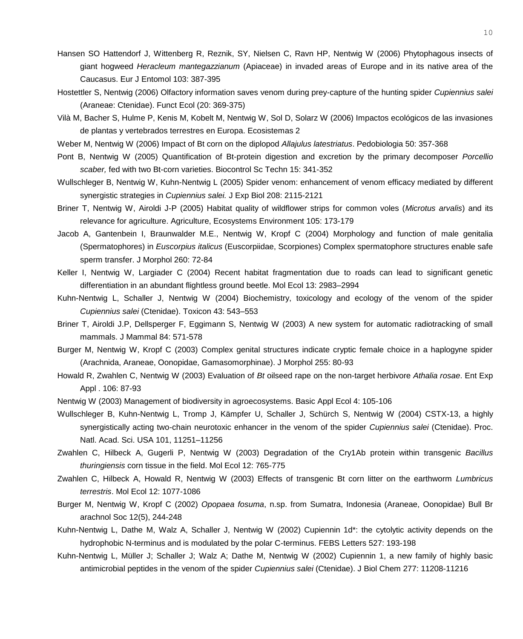- Hansen SO Hattendorf J, Wittenberg R, Reznik, SY, Nielsen C, Ravn HP, Nentwig W (2006) Phytophagous insects of giant hogweed *Heracleum mantegazzianum* (Apiaceae) in invaded areas of Europe and in its native area of the Caucasus. Eur J Entomol 103: 387-395
- Hostettler S, Nentwig (2006) Olfactory information saves venom during prey-capture of the hunting spider *Cupiennius salei* (Araneae: Ctenidae). Funct Ecol (20: 369-375)
- Vilà M, Bacher S, Hulme P, Kenis M, Kobelt M, Nentwig W, Sol D, Solarz W (2006) Impactos ecológicos de las invasiones de plantas y vertebrados terrestres en Europa. Ecosistemas 2
- Weber M, Nentwig W (2006) Impact of Bt corn on the diplopod *Allajulus latestriatus*. Pedobiologia 50: 357-368
- Pont B, Nentwig W (2005) Quantification of Bt-protein digestion and excretion by the primary decomposer *Porcellio scaber,* fed with two Bt-corn varieties. Biocontrol Sc Techn 15: 341-352
- Wullschleger B, Nentwig W, Kuhn-Nentwig L (2005) Spider venom: enhancement of venom efficacy mediated by different synergistic strategies in *Cupiennius salei.* J Exp Biol 208: 2115-2121
- Briner T, Nentwig W, Airoldi J-P (2005) Habitat quality of wildflower strips for common voles (*Microtus arvalis*) and its relevance for agriculture. Agriculture, Ecosystems Environment 105: 173-179
- Jacob A, Gantenbein I, Braunwalder M.E., Nentwig W, Kropf C (2004) Morphology and function of male genitalia (Spermatophores) in *Euscorpius italicus* (Euscorpiidae, Scorpiones) Complex spermatophore structures enable safe sperm transfer. J Morphol 260: 72-84
- Keller I, Nentwig W, Largiader C (2004) Recent habitat fragmentation due to roads can lead to significant genetic differentiation in an abundant flightless ground beetle. Mol Ecol 13: 2983–2994
- Kuhn-Nentwig L, Schaller J, Nentwig W (2004) Biochemistry, toxicology and ecology of the venom of the spider *Cupiennius salei* (Ctenidae). Toxicon 43: 543–553
- Briner T, Airoldi J.P, Dellsperger F, Eggimann S, Nentwig W (2003) A new system for automatic radiotracking of small mammals. J Mammal 84: 571-578
- Burger M, Nentwig W, Kropf C (2003) Complex genital structures indicate cryptic female choice in a haplogyne spider (Arachnida, Araneae, Oonopidae, Gamasomorphinae). J Morphol 255: 80-93
- Howald R, Zwahlen C, Nentwig W (2003) Evaluation of *Bt* oilseed rape on the non-target herbivore *Athalia rosae*. Ent Exp Appl . 106: 87-93
- Nentwig W (2003) Management of biodiversity in agroecosystems. Basic Appl Ecol 4: 105-106
- Wullschleger B, Kuhn-Nentwig L, Tromp J, Kämpfer U, Schaller J, Schürch S, Nentwig W (2004) CSTX-13, a highly synergistically acting two-chain neurotoxic enhancer in the venom of the spider *Cupiennius salei* (Ctenidae). Proc. Natl. Acad. Sci. USA 101, 11251–11256
- Zwahlen C, Hilbeck A, Gugerli P, Nentwig W (2003) Degradation of the Cry1Ab protein within transgenic *Bacillus thuringiensis* corn tissue in the field. Mol Ecol 12: 765-775
- Zwahlen C, Hilbeck A, Howald R, Nentwig W (2003) Effects of transgenic Bt corn litter on the earthworm *Lumbricus terrestris*. Mol Ecol 12: 1077-1086
- Burger M, Nentwig W, Kropf C (2002) *Opopaea fosuma*, n.sp. from Sumatra, Indonesia (Araneae, Oonopidae) Bull Br arachnol Soc 12(5), 244-248
- Kuhn-Nentwig L, Dathe M, Walz A, Schaller J, Nentwig W (2002) Cupiennin 1d\*: the cytolytic activity depends on the hydrophobic N-terminus and is modulated by the polar C-terminus. FEBS Letters 527: 193-198
- Kuhn-Nentwig L, Müller J; Schaller J; Walz A; Dathe M, Nentwig W (2002) Cupiennin 1, a new family of highly basic antimicrobial peptides in the venom of the spider *Cupiennius salei* (Ctenidae). J Biol Chem 277: 11208-11216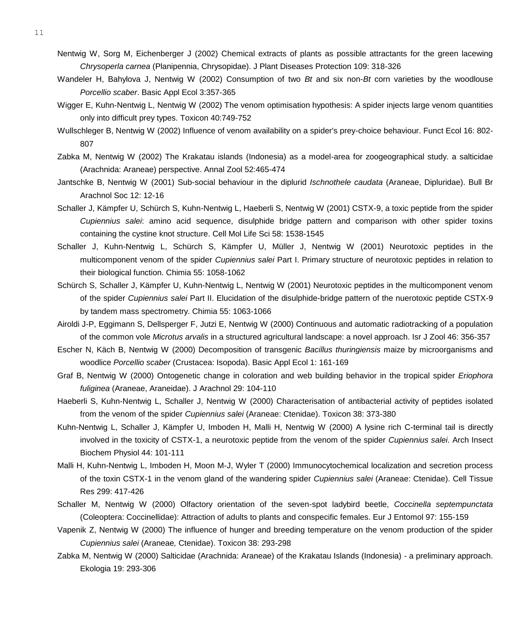- Nentwig W, Sorg M, Eichenberger J (2002) Chemical extracts of plants as possible attractants for the green lacewing *Chrysoperla carnea* (Planipennia, Chrysopidae). J Plant Diseases Protection 109: 318-326
- Wandeler H, Bahylova J, Nentwig W (2002) Consumption of two *Bt* and six non-*Bt* corn varieties by the woodlouse *Porcellio scaber*. Basic Appl Ecol 3:357-365
- Wigger E, Kuhn-Nentwig L, Nentwig W (2002) The venom optimisation hypothesis: A spider injects large venom quantities only into difficult prey types. Toxicon 40:749-752
- Wullschleger B, Nentwig W (2002) Influence of venom availability on a spider's prey-choice behaviour. Funct Ecol 16: 802- 807
- Zabka M, Nentwig W (2002) The Krakatau islands (Indonesia) as a model-area for zoogeographical study. a salticidae (Arachnida: Araneae) perspective. Annal Zool 52:465-474
- Jantschke B, Nentwig W (2001) Sub-social behaviour in the diplurid *Ischnothele caudata* (Araneae, Dipluridae). Bull Br Arachnol Soc 12: 12-16
- Schaller J, Kämpfer U, Schürch S, Kuhn-Nentwig L, Haeberli S, Nentwig W (2001) CSTX-9, a toxic peptide from the spider *Cupiennius salei*: amino acid sequence, disulphide bridge pattern and comparison with other spider toxins containing the cystine knot structure. Cell Mol Life Sci 58: 1538-1545
- Schaller J, Kuhn-Nentwig L, Schürch S, Kämpfer U, Müller J, Nentwig W (2001) Neurotoxic peptides in the multicomponent venom of the spider *Cupiennius salei* Part I. Primary structure of neurotoxic peptides in relation to their biological function. Chimia 55: 1058-1062
- Schürch S, Schaller J, Kämpfer U, Kuhn-Nentwig L, Nentwig W (2001) Neurotoxic peptides in the multicomponent venom of the spider *Cupiennius salei* Part II. Elucidation of the disulphide-bridge pattern of the nuerotoxic peptide CSTX-9 by tandem mass spectrometry. Chimia 55: 1063-1066
- Airoldi J-P, Eggimann S, Dellsperger F, Jutzi E, Nentwig W (2000) Continuous and automatic radiotracking of a population of the common vole *Microtus arvalis* in a structured agricultural landscape: a novel approach. Isr J Zool 46: 356-357
- Escher N, Käch B, Nentwig W (2000) Decomposition of transgenic *Bacillus thuringiensis* maize by microorganisms and woodlice *Porcellio scaber* (Crustacea: Isopoda). Basic Appl Ecol 1: 161-169
- Graf B, Nentwig W (2000) Ontogenetic change in coloration and web building behavior in the tropical spider *Eriophora fuliginea* (Araneae, Araneidae). J Arachnol 29: 104-110
- Haeberli S, Kuhn-Nentwig L, Schaller J, Nentwig W (2000) Characterisation of antibacterial activity of peptides isolated from the venom of the spider *Cupiennius salei* (Araneae: Ctenidae). Toxicon 38: 373-380
- Kuhn-Nentwig L, Schaller J, Kämpfer U, Imboden H, Malli H, Nentwig W (2000) A lysine rich C-terminal tail is directly involved in the toxicity of CSTX-1, a neurotoxic peptide from the venom of the spider *Cupiennius salei*. Arch Insect Biochem Physiol 44: 101-111
- Malli H, Kuhn-Nentwig L, Imboden H, Moon M-J, Wyler T (2000) Immunocytochemical localization and secretion process of the toxin CSTX-1 in the venom gland of the wandering spider *Cupiennius salei* (Araneae: Ctenidae). Cell Tissue Res 299: 417-426
- Schaller M, Nentwig W (2000) Olfactory orientation of the seven-spot ladybird beetle, *Coccinella septempunctata* (Coleoptera: Coccinellidae): Attraction of adults to plants and conspecific females. Eur J Entomol 97: 155-159
- Vapenik Z, Nentwig W (2000) The influence of hunger and breeding temperature on the venom production of the spider *Cupiennius salei* (Araneae*,* Ctenidae). Toxicon 38: 293-298
- Zabka M, Nentwig W (2000) Salticidae (Arachnida: Araneae) of the Krakatau Islands (Indonesia) a preliminary approach. Ekologia 19: 293-306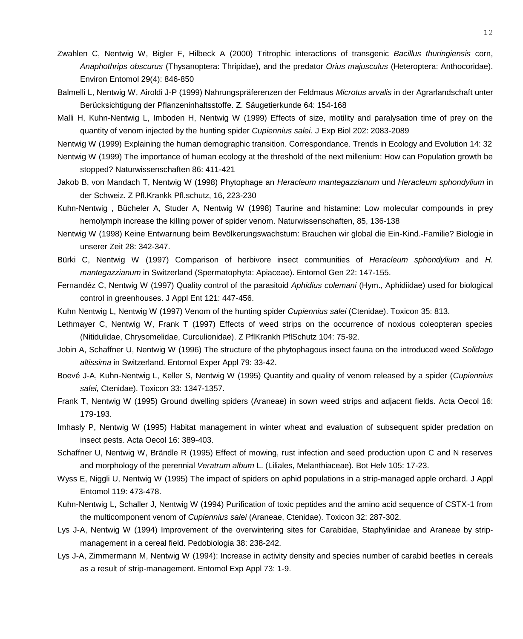- Zwahlen C, Nentwig W, Bigler F, Hilbeck A (2000) Tritrophic interactions of transgenic *Bacillus thuringiensis* corn, *Anaphothrips obscurus* (Thysanoptera: Thripidae), and the predator *Orius majusculus* (Heteroptera: Anthocoridae). Environ Entomol 29(4): 846-850
- Balmelli L, Nentwig W, Airoldi J-P (1999) Nahrungspräferenzen der Feldmaus *Microtus arvalis* in der Agrarlandschaft unter Berücksichtigung der Pflanzeninhaltsstoffe. Z. Säugetierkunde 64: 154-168
- Malli H, Kuhn-Nentwig L, Imboden H, Nentwig W (1999) Effects of size, motility and paralysation time of prey on the quantity of venom injected by the hunting spider *Cupiennius salei*. J Exp Biol 202: 2083-2089

Nentwig W (1999) Explaining the human demographic transition. Correspondance. Trends in Ecology and Evolution 14: 32

- Nentwig W (1999) The importance of human ecology at the threshold of the next millenium: How can Population growth be stopped? Naturwissenschaften 86: 411-421
- Jakob B, von Mandach T, Nentwig W (1998) Phytophage an *Heracleum mantegazzianum* und *Heracleum sphondylium* in der Schweiz. Z Pfl.Krankk Pfl.schutz, 16, 223-230
- Kuhn-Nentwig , Bücheler A, Studer A, Nentwig W (1998) Taurine and histamine: Low molecular compounds in prey hemolymph increase the killing power of spider venom. Naturwissenschaften, 85, 136-138
- Nentwig W (1998) Keine Entwarnung beim Bevölkerungswachstum: Brauchen wir global die Ein-Kind.-Familie? Biologie in unserer Zeit 28: 342-347.
- Bürki C, Nentwig W (1997) Comparison of herbivore insect communities of *Heracleum sphondylium* and *H. mantegazzianum* in Switzerland (Spermatophyta: Apiaceae). Entomol Gen 22: 147-155.
- Fernandéz C, Nentwig W (1997) Quality control of the parasitoid *Aphidius colemani* (Hym., Aphidiidae) used for biological control in greenhouses. J Appl Ent 121: 447-456.
- Kuhn Nentwig L, Nentwig W (1997) Venom of the hunting spider *Cupiennius salei* (Ctenidae). Toxicon 35: 813.
- Lethmayer C, Nentwig W, Frank T (1997) Effects of weed strips on the occurrence of noxious coleopteran species (Nitidulidae, Chrysomelidae, Curculionidae). Z PflKrankh PflSchutz 104: 75-92.
- Jobin A, Schaffner U, Nentwig W (1996) The structure of the phytophagous insect fauna on the introduced weed *Solidago altissima* in Switzerland. Entomol Exper Appl 79: 33-42.
- Boevé J-A, Kuhn-Nentwig L, Keller S, Nentwig W (1995) Quantity and quality of venom released by a spider (*Cupiennius salei,* Ctenidae). Toxicon 33: 1347-1357.
- Frank T, Nentwig W (1995) Ground dwelling spiders (Araneae) in sown weed strips and adjacent fields. Acta Oecol 16: 179-193.
- Imhasly P, Nentwig W (1995) Habitat management in winter wheat and evaluation of subsequent spider predation on insect pests. Acta Oecol 16: 389-403.
- Schaffner U, Nentwig W, Brändle R (1995) Effect of mowing, rust infection and seed production upon C and N reserves and morphology of the perennial *Veratrum album* L. (Liliales, Melanthiaceae). Bot Helv 105: 17-23.
- Wyss E, Niggli U, Nentwig W (1995) The impact of spiders on aphid populations in a strip-managed apple orchard. J Appl Entomol 119: 473-478.
- Kuhn-Nentwig L, Schaller J, Nentwig W (1994) Purification of toxic peptides and the amino acid sequence of CSTX-1 from the multicomponent venom of *Cupiennius salei* (Araneae, Ctenidae). Toxicon 32: 287-302.
- Lys J-A, Nentwig W (1994) Improvement of the overwintering sites for Carabidae, Staphylinidae and Araneae by stripmanagement in a cereal field. Pedobiologia 38: 238-242.
- Lys J-A, Zimmermann M, Nentwig W (1994): Increase in activity density and species number of carabid beetles in cereals as a result of strip-management. Entomol Exp Appl 73: 1-9.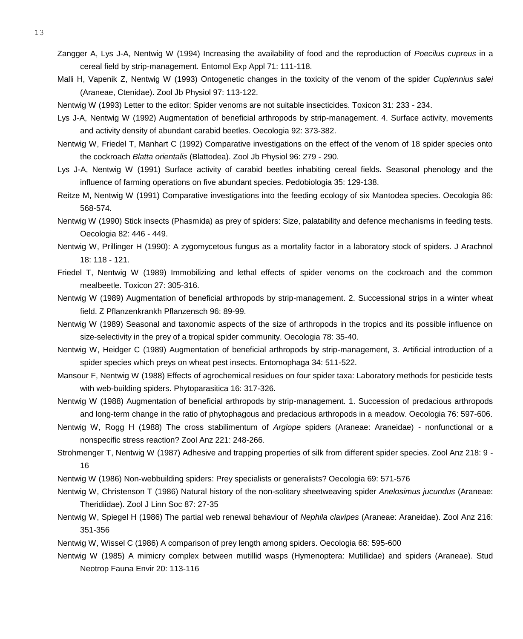- 13
- Zangger A, Lys J-A, Nentwig W (1994) Increasing the availability of food and the reproduction of *Poecilus cupreus* in a cereal field by strip-management. Entomol Exp Appl 71: 111-118.
- Malli H, Vapenik Z, Nentwig W (1993) Ontogenetic changes in the toxicity of the venom of the spider *Cupiennius salei* (Araneae, Ctenidae). Zool Jb Physiol 97: 113-122.
- Nentwig W (1993) Letter to the editor: Spider venoms are not suitable insecticides. Toxicon 31: 233 234.
- Lys J-A, Nentwig W (1992) Augmentation of beneficial arthropods by strip-management. 4. Surface activity, movements and activity density of abundant carabid beetles. Oecologia 92: 373-382.
- Nentwig W, Friedel T, Manhart C (1992) Comparative investigations on the effect of the venom of 18 spider species onto the cockroach *Blatta orientalis* (Blattodea). Zool Jb Physiol 96: 279 - 290.
- Lys J-A, Nentwig W (1991) Surface activity of carabid beetles inhabiting cereal fields. Seasonal phenology and the influence of farming operations on five abundant species. Pedobiologia 35: 129-138.
- Reitze M, Nentwig W (1991) Comparative investigations into the feeding ecology of six Mantodea species. Oecologia 86: 568-574.
- Nentwig W (1990) Stick insects (Phasmida) as prey of spiders: Size, palatability and defence mechanisms in feeding tests. Oecologia 82: 446 - 449.
- Nentwig W, Prillinger H (1990): A zygomycetous fungus as a mortality factor in a laboratory stock of spiders. J Arachnol 18: 118 - 121.
- Friedel T, Nentwig W (1989) Immobilizing and lethal effects of spider venoms on the cockroach and the common mealbeetle. Toxicon 27: 305-316.
- Nentwig W (1989) Augmentation of beneficial arthropods by strip-management. 2. Successional strips in a winter wheat field. Z Pflanzenkrankh Pflanzensch 96: 89-99.
- Nentwig W (1989) Seasonal and taxonomic aspects of the size of arthropods in the tropics and its possible influence on size-selectivity in the prey of a tropical spider community. Oecologia 78: 35-40.
- Nentwig W, Heidger C (1989) Augmentation of beneficial arthropods by strip-management, 3. Artificial introduction of a spider species which preys on wheat pest insects. Entomophaga 34: 511-522.
- Mansour F, Nentwig W (1988) Effects of agrochemical residues on four spider taxa: Laboratory methods for pesticide tests with web-building spiders. Phytoparasitica 16: 317-326.
- Nentwig W (1988) Augmentation of beneficial arthropods by strip-management. 1. Succession of predacious arthropods and long-term change in the ratio of phytophagous and predacious arthropods in a meadow. Oecologia 76: 597-606.
- Nentwig W, Rogg H (1988) The cross stabilimentum of *Argiope* spiders (Araneae: Araneidae) nonfunctional or a nonspecific stress reaction? Zool Anz 221: 248-266.
- Strohmenger T, Nentwig W (1987) Adhesive and trapping properties of silk from different spider species. Zool Anz 218: 9 16
- Nentwig W (1986) Non-webbuilding spiders: Prey specialists or generalists? Oecologia 69: 571-576
- Nentwig W, Christenson T (1986) Natural history of the non-solitary sheetweaving spider *Anelosimus jucundus* (Araneae: Theridiidae). Zool J Linn Soc 87: 27-35
- Nentwig W, Spiegel H (1986) The partial web renewal behaviour of *Nephila clavipes* (Araneae: Araneidae). Zool Anz 216: 351-356
- Nentwig W, Wissel C (1986) A comparison of prey length among spiders. Oecologia 68: 595-600
- Nentwig W (1985) A mimicry complex between mutillid wasps (Hymenoptera: Mutillidae) and spiders (Araneae). Stud Neotrop Fauna Envir 20: 113-116